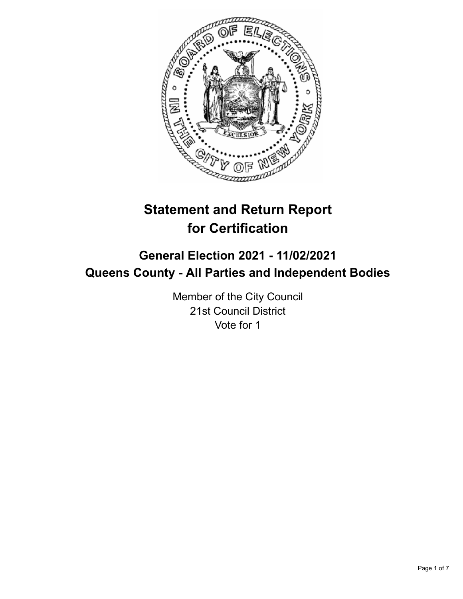

# **Statement and Return Report for Certification**

## **General Election 2021 - 11/02/2021 Queens County - All Parties and Independent Bodies**

Member of the City Council 21st Council District Vote for 1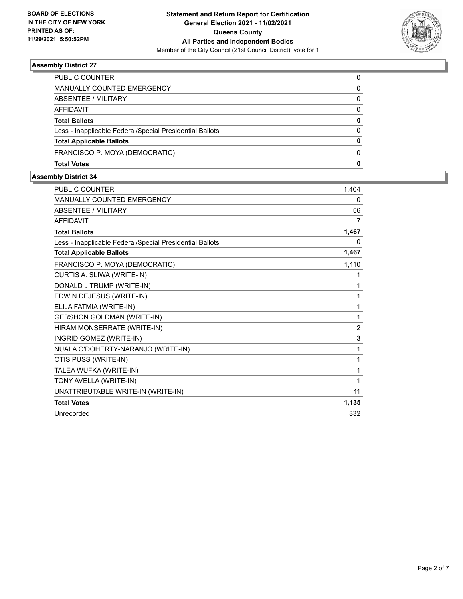

| PUBLIC COUNTER                                           |              |
|----------------------------------------------------------|--------------|
| MANUALLY COUNTED EMERGENCY                               | 0            |
| ABSENTEE / MILITARY                                      | 0            |
| AFFIDAVIT                                                | <sup>0</sup> |
| <b>Total Ballots</b>                                     | 0            |
| Less - Inapplicable Federal/Special Presidential Ballots | <sup>0</sup> |
| <b>Total Applicable Ballots</b>                          | 0            |
| FRANCISCO P. MOYA (DEMOCRATIC)                           | <sup>0</sup> |
| <b>Total Votes</b>                                       | O            |

| <b>PUBLIC COUNTER</b>                                    | 1,404          |
|----------------------------------------------------------|----------------|
| <b>MANUALLY COUNTED EMERGENCY</b>                        | 0              |
| <b>ABSENTEE / MILITARY</b>                               | 56             |
| <b>AFFIDAVIT</b>                                         | 7              |
| <b>Total Ballots</b>                                     | 1,467          |
| Less - Inapplicable Federal/Special Presidential Ballots | 0              |
| <b>Total Applicable Ballots</b>                          | 1,467          |
| FRANCISCO P. MOYA (DEMOCRATIC)                           | 1,110          |
| CURTIS A. SLIWA (WRITE-IN)                               | 1              |
| DONALD J TRUMP (WRITE-IN)                                | 1              |
| EDWIN DEJESUS (WRITE-IN)                                 | 1              |
| ELIJA FATMIA (WRITE-IN)                                  | 1              |
| <b>GERSHON GOLDMAN (WRITE-IN)</b>                        | 1              |
| HIRAM MONSERRATE (WRITE-IN)                              | $\overline{2}$ |
| INGRID GOMEZ (WRITE-IN)                                  | 3              |
| NUALA O'DOHERTY-NARANJO (WRITE-IN)                       | 1              |
| OTIS PUSS (WRITE-IN)                                     | 1              |
| TALEA WUFKA (WRITE-IN)                                   | 1              |
| TONY AVELLA (WRITE-IN)                                   | 1              |
| UNATTRIBUTABLE WRITE-IN (WRITE-IN)                       | 11             |
| <b>Total Votes</b>                                       | 1,135          |
| Unrecorded                                               | 332            |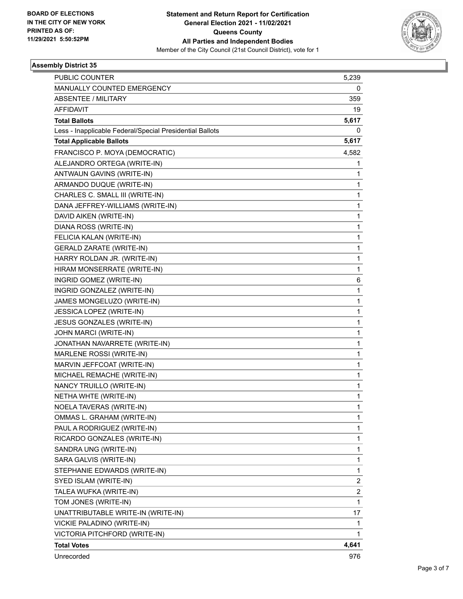

| <b>PUBLIC COUNTER</b>                                    | 5,239                   |
|----------------------------------------------------------|-------------------------|
| MANUALLY COUNTED EMERGENCY                               | 0                       |
| <b>ABSENTEE / MILITARY</b>                               | 359                     |
| AFFIDAVIT                                                | 19                      |
| <b>Total Ballots</b>                                     | 5,617                   |
| Less - Inapplicable Federal/Special Presidential Ballots | 0                       |
| <b>Total Applicable Ballots</b>                          | 5,617                   |
| FRANCISCO P. MOYA (DEMOCRATIC)                           | 4,582                   |
| ALEJANDRO ORTEGA (WRITE-IN)                              | 1                       |
| ANTWAUN GAVINS (WRITE-IN)                                | 1                       |
| ARMANDO DUQUE (WRITE-IN)                                 | $\mathbf{1}$            |
| CHARLES C. SMALL III (WRITE-IN)                          | 1                       |
| DANA JEFFREY-WILLIAMS (WRITE-IN)                         | $\mathbf{1}$            |
| DAVID AIKEN (WRITE-IN)                                   | $\mathbf{1}$            |
| DIANA ROSS (WRITE-IN)                                    | 1                       |
| FELICIA KALAN (WRITE-IN)                                 | $\mathbf{1}$            |
| <b>GERALD ZARATE (WRITE-IN)</b>                          | $\mathbf{1}$            |
| HARRY ROLDAN JR. (WRITE-IN)                              | $\mathbf{1}$            |
| HIRAM MONSERRATE (WRITE-IN)                              | $\mathbf{1}$            |
| INGRID GOMEZ (WRITE-IN)                                  | 6                       |
| INGRID GONZALEZ (WRITE-IN)                               | 1                       |
| JAMES MONGELUZO (WRITE-IN)                               | $\mathbf{1}$            |
| JESSICA LOPEZ (WRITE-IN)                                 | $\mathbf{1}$            |
| JESUS GONZALES (WRITE-IN)                                | 1                       |
| JOHN MARCI (WRITE-IN)                                    | $\mathbf{1}$            |
| JONATHAN NAVARRETE (WRITE-IN)                            | $\mathbf{1}$            |
| MARLENE ROSSI (WRITE-IN)                                 | 1                       |
| MARVIN JEFFCOAT (WRITE-IN)                               | $\mathbf{1}$            |
| MICHAEL REMACHE (WRITE-IN)                               | $\mathbf{1}$            |
| NANCY TRUILLO (WRITE-IN)                                 | 1                       |
| NETHA WHTE (WRITE-IN)                                    | $\mathbf{1}$            |
| NOELA TAVERAS (WRITE-IN)                                 | $\mathbf{1}$            |
| OMMAS L. GRAHAM (WRITE-IN)                               | 1                       |
| PAUL A RODRIGUEZ (WRITE-IN)                              | $\mathbf{1}$            |
| RICARDO GONZALES (WRITE-IN)                              | $\mathbf{1}$            |
| SANDRA UNG (WRITE-IN)                                    | 1                       |
| SARA GALVIS (WRITE-IN)                                   | $\mathbf{1}$            |
| STEPHANIE EDWARDS (WRITE-IN)                             | $\mathbf{1}$            |
| SYED ISLAM (WRITE-IN)                                    | 2                       |
| TALEA WUFKA (WRITE-IN)                                   | $\overline{\mathbf{c}}$ |
| TOM JONES (WRITE-IN)                                     | $\mathbf{1}$            |
| UNATTRIBUTABLE WRITE-IN (WRITE-IN)                       | 17                      |
| VICKIE PALADINO (WRITE-IN)                               | $\mathbf{1}$            |
| VICTORIA PITCHFORD (WRITE-IN)                            | 1                       |
| <b>Total Votes</b>                                       | 4,641                   |
| Unrecorded                                               | 976                     |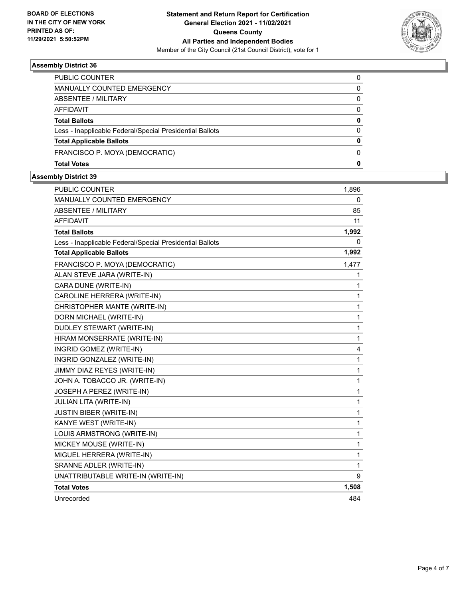

| <b>PUBLIC COUNTER</b>                                    | 0            |
|----------------------------------------------------------|--------------|
| MANUALLY COUNTED EMERGENCY                               | 0            |
| ABSENTEE / MILITARY                                      | $\Omega$     |
| AFFIDAVIT                                                | 0            |
| <b>Total Ballots</b>                                     | 0            |
| Less - Inapplicable Federal/Special Presidential Ballots | <sup>0</sup> |
| <b>Total Applicable Ballots</b>                          | o            |
| FRANCISCO P. MOYA (DEMOCRATIC)                           | <sup>0</sup> |
| <b>Total Votes</b>                                       | O            |

| <b>PUBLIC COUNTER</b>                                    | 1,896 |
|----------------------------------------------------------|-------|
| MANUALLY COUNTED EMERGENCY                               | 0     |
| <b>ABSENTEE / MILITARY</b>                               | 85    |
| <b>AFFIDAVIT</b>                                         | 11    |
| <b>Total Ballots</b>                                     | 1,992 |
| Less - Inapplicable Federal/Special Presidential Ballots | 0     |
| <b>Total Applicable Ballots</b>                          | 1,992 |
| FRANCISCO P. MOYA (DEMOCRATIC)                           | 1,477 |
| ALAN STEVE JARA (WRITE-IN)                               | 1     |
| CARA DUNE (WRITE-IN)                                     | 1     |
| CAROLINE HERRERA (WRITE-IN)                              | 1     |
| CHRISTOPHER MANTE (WRITE-IN)                             | 1     |
| DORN MICHAEL (WRITE-IN)                                  | 1     |
| DUDLEY STEWART (WRITE-IN)                                | 1     |
| HIRAM MONSERRATE (WRITE-IN)                              | 1     |
| INGRID GOMEZ (WRITE-IN)                                  | 4     |
| INGRID GONZALEZ (WRITE-IN)                               | 1     |
| JIMMY DIAZ REYES (WRITE-IN)                              | 1     |
| JOHN A. TOBACCO JR. (WRITE-IN)                           | 1     |
| JOSEPH A PEREZ (WRITE-IN)                                | 1     |
| JULIAN LITA (WRITE-IN)                                   | 1     |
| <b>JUSTIN BIBER (WRITE-IN)</b>                           | 1     |
| KANYE WEST (WRITE-IN)                                    | 1     |
| LOUIS ARMSTRONG (WRITE-IN)                               | 1     |
| MICKEY MOUSE (WRITE-IN)                                  | 1     |
| MIGUEL HERRERA (WRITE-IN)                                | 1     |
| SRANNE ADLER (WRITE-IN)                                  | 1     |
| UNATTRIBUTABLE WRITE-IN (WRITE-IN)                       | 9     |
| <b>Total Votes</b>                                       | 1,508 |
| Unrecorded                                               | 484   |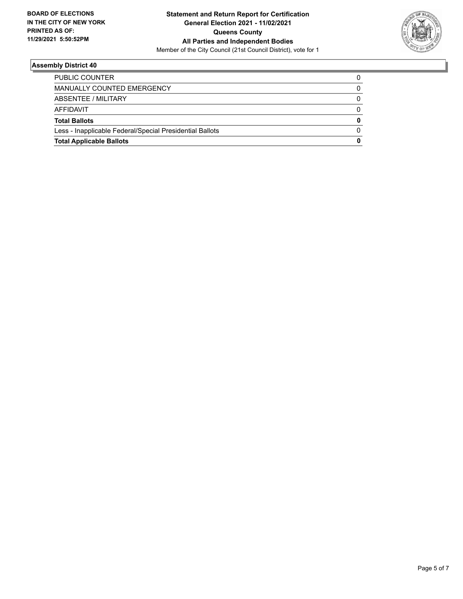

| <b>Total Applicable Ballots</b>                          | O |
|----------------------------------------------------------|---|
| Less - Inapplicable Federal/Special Presidential Ballots |   |
| <b>Total Ballots</b>                                     | o |
| AFFIDAVIT                                                |   |
| ABSENTEE / MILITARY                                      | 0 |
| MANUALLY COUNTED EMERGENCY                               |   |
| <b>PUBLIC COUNTER</b>                                    |   |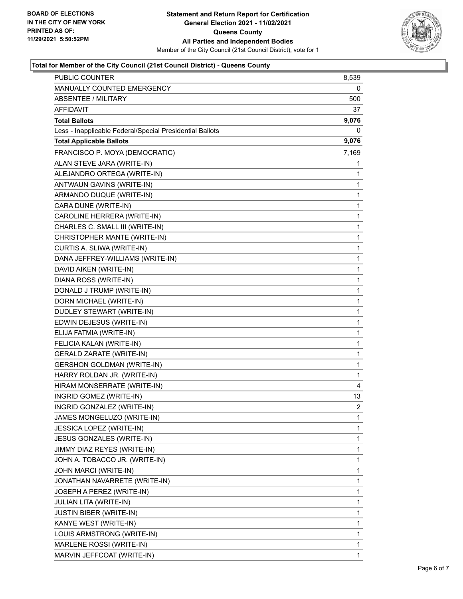

### **Total for Member of the City Council (21st Council District) - Queens County**

| PUBLIC COUNTER                                           | 8,539          |
|----------------------------------------------------------|----------------|
| MANUALLY COUNTED EMERGENCY                               | 0              |
| <b>ABSENTEE / MILITARY</b>                               | 500            |
| AFFIDAVIT                                                | 37             |
| <b>Total Ballots</b>                                     | 9,076          |
| Less - Inapplicable Federal/Special Presidential Ballots | 0              |
| <b>Total Applicable Ballots</b>                          | 9,076          |
| FRANCISCO P. MOYA (DEMOCRATIC)                           | 7,169          |
| ALAN STEVE JARA (WRITE-IN)                               | 1              |
| ALEJANDRO ORTEGA (WRITE-IN)                              | 1              |
| ANTWAUN GAVINS (WRITE-IN)                                | 1              |
| ARMANDO DUQUE (WRITE-IN)                                 | 1              |
| CARA DUNE (WRITE-IN)                                     | 1              |
| CAROLINE HERRERA (WRITE-IN)                              | 1              |
| CHARLES C. SMALL III (WRITE-IN)                          | 1              |
| CHRISTOPHER MANTE (WRITE-IN)                             | 1              |
| CURTIS A. SLIWA (WRITE-IN)                               | 1              |
| DANA JEFFREY-WILLIAMS (WRITE-IN)                         | 1              |
| DAVID AIKEN (WRITE-IN)                                   | 1              |
| DIANA ROSS (WRITE-IN)                                    | 1              |
| DONALD J TRUMP (WRITE-IN)                                | 1              |
| DORN MICHAEL (WRITE-IN)                                  | 1              |
| DUDLEY STEWART (WRITE-IN)                                | 1              |
| EDWIN DEJESUS (WRITE-IN)                                 | 1              |
| ELIJA FATMIA (WRITE-IN)                                  | 1              |
| FELICIA KALAN (WRITE-IN)                                 | 1              |
| <b>GERALD ZARATE (WRITE-IN)</b>                          | 1              |
| <b>GERSHON GOLDMAN (WRITE-IN)</b>                        | 1              |
| HARRY ROLDAN JR. (WRITE-IN)                              | 1              |
| HIRAM MONSERRATE (WRITE-IN)                              | 4              |
| INGRID GOMEZ (WRITE-IN)                                  | 13             |
| INGRID GONZALEZ (WRITE-IN)                               | $\overline{c}$ |
| JAMES MONGELUZO (WRITE-IN)                               | 1              |
| JESSICA LOPEZ (WRITE-IN)                                 | 1              |
| JESUS GONZALES (WRITE-IN)                                | 1              |
| JIMMY DIAZ REYES (WRITE-IN)                              | 1              |
| JOHN A. TOBACCO JR. (WRITE-IN)                           | 1              |
| JOHN MARCI (WRITE-IN)                                    | 1              |
| JONATHAN NAVARRETE (WRITE-IN)                            | 1              |
| JOSEPH A PEREZ (WRITE-IN)                                | 1              |
| JULIAN LITA (WRITE-IN)                                   | 1              |
| <b>JUSTIN BIBER (WRITE-IN)</b>                           | 1              |
| KANYE WEST (WRITE-IN)                                    | 1              |
| LOUIS ARMSTRONG (WRITE-IN)                               | 1              |
| MARLENE ROSSI (WRITE-IN)                                 | 1              |
| MARVIN JEFFCOAT (WRITE-IN)                               | 1              |